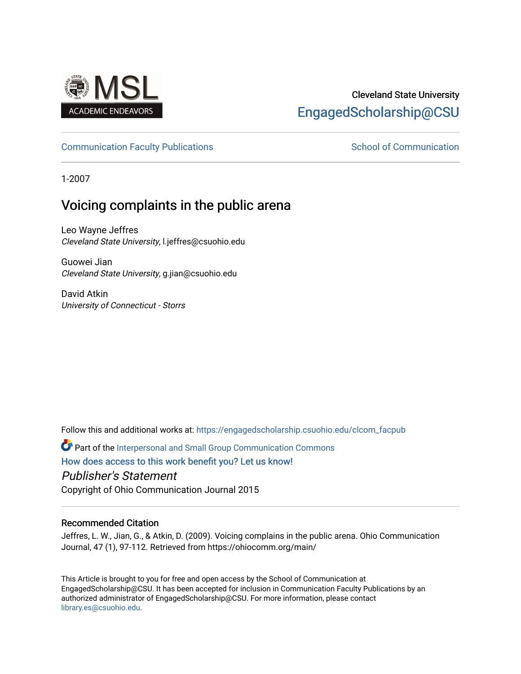

## Cleveland State University [EngagedScholarship@CSU](https://engagedscholarship.csuohio.edu/)

### [Communication Faculty Publications](https://engagedscholarship.csuohio.edu/clcom_facpub) **School of Communication** School of Communication

1-2007

# Voicing complaints in the public arena

Leo Wayne Jeffres Cleveland State University, l.jeffres@csuohio.edu

Guowei Jian Cleveland State University, g.jian@csuohio.edu

David Atkin University of Connecticut - Storrs

Follow this and additional works at: [https://engagedscholarship.csuohio.edu/clcom\\_facpub](https://engagedscholarship.csuohio.edu/clcom_facpub?utm_source=engagedscholarship.csuohio.edu%2Fclcom_facpub%2F17&utm_medium=PDF&utm_campaign=PDFCoverPages) 

Part of the [Interpersonal and Small Group Communication Commons](http://network.bepress.com/hgg/discipline/332?utm_source=engagedscholarship.csuohio.edu%2Fclcom_facpub%2F17&utm_medium=PDF&utm_campaign=PDFCoverPages) 

[How does access to this work benefit you? Let us know!](http://library.csuohio.edu/engaged/)

Publisher's Statement

Copyright of Ohio Communication Journal 2015

### Recommended Citation

Jeffres, L. W., Jian, G., & Atkin, D. (2009). Voicing complains in the public arena. Ohio Communication Journal, 47 (1), 97-112. Retrieved from https://ohiocomm.org/main/

This Article is brought to you for free and open access by the School of Communication at EngagedScholarship@CSU. It has been accepted for inclusion in Communication Faculty Publications by an authorized administrator of EngagedScholarship@CSU. For more information, please contact [library.es@csuohio.edu.](mailto:library.es@csuohio.edu)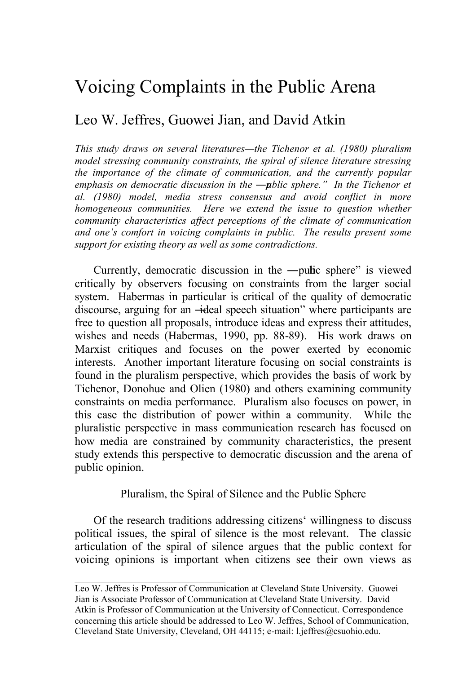## Voicing Complaints in the Public Arena

### Leo W. Jeffres, Guowei Jian, and David Atkin

*This study draws on several literatures—the Tichenor et al. (1980) pluralism model stressing community constraints, the spiral of silence literature stressing the importance of the climate of communication, and the currently popular emphasis on democratic discussion in the ―public sphere.‖ In the Tichenor et al. (1980) model, media stress consensus and avoid conflict in more homogeneous communities. Here we extend the issue to question whether community characteristics affect perceptions of the climate of communication and one's comfort in voicing complaints in public. The results present some support for existing theory as well as some contradictions.* 

Currently, democratic discussion in the  $-\text{pulse}$  sphere" is viewed critically by observers focusing on constraints from the larger social system. Habermas in particular is critical of the quality of democratic discourse, arguing for an —ideal speech situation" where participants are free to question all proposals, introduce ideas and express their attitudes, wishes and needs (Habermas, 1990, pp. 88-89). His work draws on Marxist critiques and focuses on the power exerted by economic interests. Another important literature focusing on social constraints is found in the pluralism perspective, which provides the basis of work by Tichenor, Donohue and Olien (1980) and others examining community constraints on media performance. Pluralism also focuses on power, in this case the distribution of power within a community. While the pluralistic perspective in mass communication research has focused on how media are constrained by community characteristics, the present study extends this perspective to democratic discussion and the arena of public opinion.

Pluralism, the Spiral of Silence and the Public Sphere

Of the research traditions addressing citizens' willingness to discuss political issues, the spiral of silence is the most relevant. The classic articulation of the spiral of silence argues that the public context for voicing opinions is important when citizens see their own views as

 $\mathcal{L}_\text{max}$  , and the set of the set of the set of the set of the set of the set of the set of the set of the set of the set of the set of the set of the set of the set of the set of the set of the set of the set of the

Leo W. Jeffres is Professor of Communication at Cleveland State University. Guowei Jian is Associate Professor of Communication at Cleveland State University. David Atkin is Professor of Communication at the University of Connecticut. Correspondence concerning this article should be addressed to Leo W. Jeffres, School of Communication, Cleveland State University, Cleveland, OH 44115; e-mail: l.jeffres@csuohio.edu.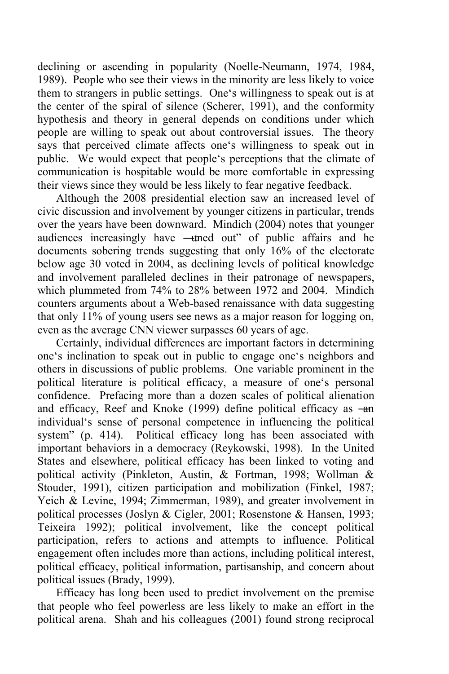declining or ascending in popularity (Noelle-Neumann, 1974, 1984, 1989). People who see their views in the minority are less likely to voice them to strangers in public settings. One's willingness to speak out is at the center of the spiral of silence (Scherer, 1991), and the conformity hypothesis and theory in general depends on conditions under which people are willing to speak out about controversial issues. The theory says that perceived climate affects one's willingness to speak out in public. We would expect that people's perceptions that the climate of communication is hospitable would be more comfortable in expressing their views since they would be less likely to fear negative feedback.

Although the 2008 presidential election saw an increased level of civic discussion and involvement by younger citizens in particular, trends over the years have been downward. Mindich (2004) notes that younger audiences increasingly have —thed out" of public affairs and he documents sobering trends suggesting that only 16% of the electorate below age 30 voted in 2004, as declining levels of political knowledge and involvement paralleled declines in their patronage of newspapers, which plummeted from 74% to 28% between 1972 and 2004. Mindich counters arguments about a Web-based renaissance with data suggesting that only 11% of young users see news as a major reason for logging on, even as the average CNN viewer surpasses 60 years of age.

Certainly, individual differences are important factors in determining one's inclination to speak out in public to engage one's neighbors and others in discussions of public problems. One variable prominent in the political literature is political efficacy, a measure of one's personal confidence. Prefacing more than a dozen scales of political alienation and efficacy, Reef and Knoke (1999) define political efficacy as  $-\text{an}$ individual's sense of personal competence in influencing the political system" (p. 414). Political efficacy long has been associated with important behaviors in a democracy (Reykowski, 1998). In the United States and elsewhere, political efficacy has been linked to voting and political activity (Pinkleton, Austin, & Fortman, 1998; Wollman & Stouder, 1991), citizen participation and mobilization (Finkel, 1987; Yeich & Levine, 1994; Zimmerman, 1989), and greater involvement in political processes (Joslyn & Cigler, 2001; Rosenstone & Hansen, 1993; Teixeira 1992); political involvement, like the concept political participation, refers to actions and attempts to influence. Political engagement often includes more than actions, including political interest, political efficacy, political information, partisanship, and concern about political issues (Brady, 1999).

Efficacy has long been used to predict involvement on the premise that people who feel powerless are less likely to make an effort in the political arena. Shah and his colleagues (2001) found strong reciprocal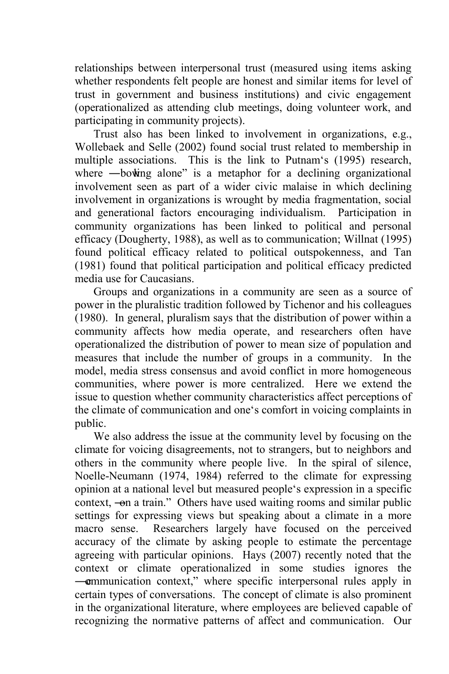relationships between interpersonal trust (measured using items asking whether respondents felt people are honest and similar items for level of trust in government and business institutions) and civic engagement (operationalized as attending club meetings, doing volunteer work, and participating in community projects).

Trust also has been linked to involvement in organizations, e.g., Wollebaek and Selle (2002) found social trust related to membership in multiple associations. This is the link to Putnam's (1995) research, where  $-\text{bowing}$  alone" is a metaphor for a declining organizational involvement seen as part of a wider civic malaise in which declining involvement in organizations is wrought by media fragmentation, social and generational factors encouraging individualism. Participation in community organizations has been linked to political and personal efficacy (Dougherty, 1988), as well as to communication; Willnat (1995) found political efficacy related to political outspokenness, and Tan (1981) found that political participation and political efficacy predicted media use for Caucasians.

Groups and organizations in a community are seen as a source of power in the pluralistic tradition followed by Tichenor and his colleagues (1980). In general, pluralism says that the distribution of power within a community affects how media operate, and researchers often have operationalized the distribution of power to mean size of population and measures that include the number of groups in a community. In the model, media stress consensus and avoid conflict in more homogeneous communities, where power is more centralized. Here we extend the issue to question whether community characteristics affect perceptions of the climate of communication and one's comfort in voicing complaints in public.

We also address the issue at the community level by focusing on the climate for voicing disagreements, not to strangers, but to neighbors and others in the community where people live. In the spiral of silence, Noelle-Neumann (1974, 1984) referred to the climate for expressing opinion at a national level but measured people's expression in a specific context, —on a train." Others have used waiting rooms and similar public settings for expressing views but speaking about a climate in a more macro sense. Researchers largely have focused on the perceived accuracy of the climate by asking people to estimate the percentage agreeing with particular opinions. Hays (2007) recently noted that the context or climate operationalized in some studies ignores the ―communication context,‖ where specific interpersonal rules apply in certain types of conversations. The concept of climate is also prominent in the organizational literature, where employees are believed capable of recognizing the normative patterns of affect and communication. Our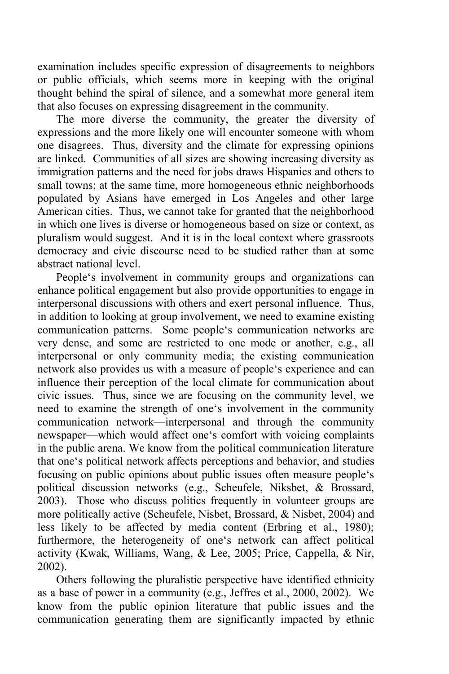examination includes specific expression of disagreements to neighbors or public officials, which seems more in keeping with the original thought behind the spiral of silence, and a somewhat more general item that also focuses on expressing disagreement in the community.

The more diverse the community, the greater the diversity of expressions and the more likely one will encounter someone with whom one disagrees. Thus, diversity and the climate for expressing opinions are linked. Communities of all sizes are showing increasing diversity as immigration patterns and the need for jobs draws Hispanics and others to small towns; at the same time, more homogeneous ethnic neighborhoods populated by Asians have emerged in Los Angeles and other large American cities. Thus, we cannot take for granted that the neighborhood in which one lives is diverse or homogeneous based on size or context, as pluralism would suggest. And it is in the local context where grassroots democracy and civic discourse need to be studied rather than at some abstract national level.

People's involvement in community groups and organizations can enhance political engagement but also provide opportunities to engage in interpersonal discussions with others and exert personal influence. Thus, in addition to looking at group involvement, we need to examine existing communication patterns. Some people's communication networks are very dense, and some are restricted to one mode or another, e.g., all interpersonal or only community media; the existing communication network also provides us with a measure of people's experience and can influence their perception of the local climate for communication about civic issues. Thus, since we are focusing on the community level, we need to examine the strength of one's involvement in the community communication network—interpersonal and through the community newspaper—which would affect one's comfort with voicing complaints in the public arena. We know from the political communication literature that one's political network affects perceptions and behavior, and studies focusing on public opinions about public issues often measure people's political discussion networks (e.g., Scheufele, Niksbet, & Brossard, 2003). Those who discuss politics frequently in volunteer groups are more politically active (Scheufele, Nisbet, Brossard, & Nisbet, 2004) and less likely to be affected by media content (Erbring et al., 1980); furthermore, the heterogeneity of one's network can affect political activity (Kwak, Williams, Wang, & Lee, 2005; Price, Cappella, & Nir, 2002).

Others following the pluralistic perspective have identified ethnicity as a base of power in a community (e.g., Jeffres et al., 2000, 2002). We know from the public opinion literature that public issues and the communication generating them are significantly impacted by ethnic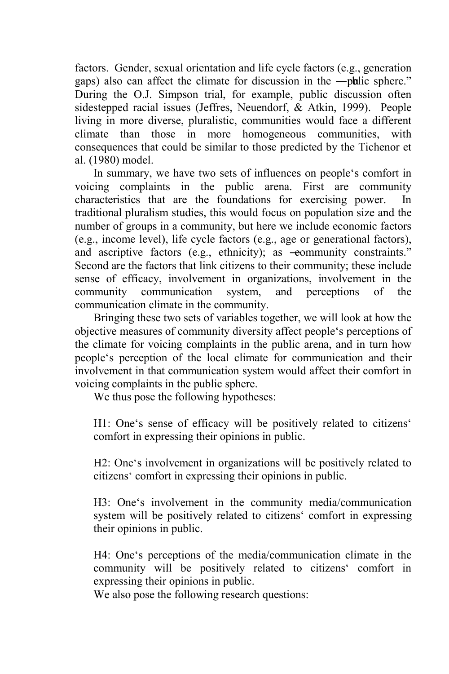factors. Gender, sexual orientation and life cycle factors (e.g., generation gaps) also can affect the climate for discussion in the —pulic sphere." During the O.J. Simpson trial, for example, public discussion often sidestepped racial issues (Jeffres, Neuendorf, & Atkin, 1999). People living in more diverse, pluralistic, communities would face a different climate than those in more homogeneous communities, with consequences that could be similar to those predicted by the Tichenor et al. (1980) model.

In summary, we have two sets of influences on people's comfort in voicing complaints in the public arena. First are community characteristics that are the foundations for exercising power. In traditional pluralism studies, this would focus on population size and the number of groups in a community, but here we include economic factors (e.g., income level), life cycle factors (e.g., age or generational factors), and ascriptive factors (e.g., ethnicity); as -eommunity constraints." Second are the factors that link citizens to their community; these include sense of efficacy, involvement in organizations, involvement in the community communication system, and perceptions of the communication climate in the community.

Bringing these two sets of variables together, we will look at how the objective measures of community diversity affect people's perceptions of the climate for voicing complaints in the public arena, and in turn how people's perception of the local climate for communication and their involvement in that communication system would affect their comfort in voicing complaints in the public sphere.

We thus pose the following hypotheses:

H1: One's sense of efficacy will be positively related to citizens' comfort in expressing their opinions in public.

H2: One's involvement in organizations will be positively related to citizens' comfort in expressing their opinions in public.

H3: One's involvement in the community media/communication system will be positively related to citizens' comfort in expressing their opinions in public.

H4: One's perceptions of the media/communication climate in the community will be positively related to citizens' comfort in expressing their opinions in public.

We also pose the following research questions: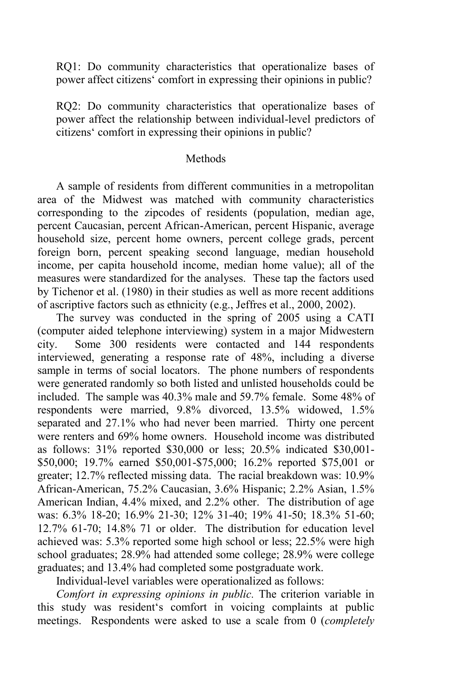RQ1: Do community characteristics that operationalize bases of power affect citizens' comfort in expressing their opinions in public?

RQ2: Do community characteristics that operationalize bases of power affect the relationship between individual-level predictors of citizens' comfort in expressing their opinions in public?

#### Methods

A sample of residents from different communities in a metropolitan area of the Midwest was matched with community characteristics corresponding to the zipcodes of residents (population, median age, percent Caucasian, percent African-American, percent Hispanic, average household size, percent home owners, percent college grads, percent foreign born, percent speaking second language, median household income, per capita household income, median home value); all of the measures were standardized for the analyses. These tap the factors used by Tichenor et al. (1980) in their studies as well as more recent additions of ascriptive factors such as ethnicity (e.g., Jeffres et al., 2000, 2002).

The survey was conducted in the spring of 2005 using a CATI (computer aided telephone interviewing) system in a major Midwestern city. Some 300 residents were contacted and 144 respondents interviewed, generating a response rate of 48%, including a diverse sample in terms of social locators. The phone numbers of respondents were generated randomly so both listed and unlisted households could be included. The sample was 40.3% male and 59.7% female. Some 48% of respondents were married, 9.8% divorced, 13.5% widowed, 1.5% separated and 27.1% who had never been married. Thirty one percent were renters and 69% home owners. Household income was distributed as follows: 31% reported \$30,000 or less; 20.5% indicated \$30,001- \$50,000; 19.7% earned \$50,001-\$75,000; 16.2% reported \$75,001 or greater; 12.7% reflected missing data. The racial breakdown was: 10.9% African-American, 75.2% Caucasian, 3.6% Hispanic; 2.2% Asian, 1.5% American Indian, 4.4% mixed, and 2.2% other. The distribution of age was: 6.3% 18-20; 16.9% 21-30; 12% 31-40; 19% 41-50; 18.3% 51-60; 12.7% 61-70; 14.8% 71 or older. The distribution for education level achieved was: 5.3% reported some high school or less; 22.5% were high school graduates; 28.9% had attended some college; 28.9% were college graduates; and 13.4% had completed some postgraduate work.

Individual-level variables were operationalized as follows:

*Comfort in expressing opinions in public.* The criterion variable in this study was resident's comfort in voicing complaints at public meetings. Respondents were asked to use a scale from 0 (*completely*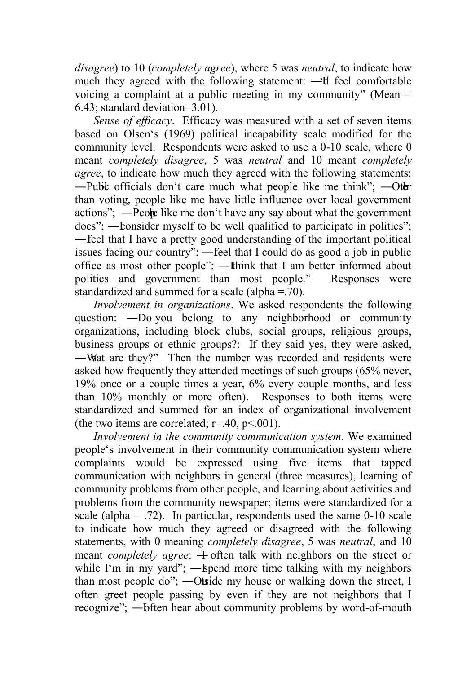*disagree*) to 10 (*completely agree*), where 5 was *neutral*, to indicate how much they agreed with the following statement: —I feel comfortable voicing a complaint at a public meeting in my community" (Mean  $=$ 6.43; standard deviation=3.01).

*Sense of efficacy*. Efficacy was measured with a set of seven items based on Olsen's (1969) political incapability scale modified for the community level. Respondents were asked to use a 0-10 scale, where 0 meant *completely disagree*, 5 was *neutral* and 10 meant *completely agree*, to indicate how much they agreed with the following statements: -Public officials don't care much what people like me think"; -Other than voting, people like me have little influence over local government actions"; —People like me don't have any say about what the government does"; — Lonsider myself to be well qualified to participate in politics"; — Feel that I have a pretty good understanding of the important political issues facing our country"; — feel that I could do as good a job in public office as most other people"; —Ithink that I am better informed about politics and government than most people." Responses were standardized and summed for a scale (alpha = .70).

*Involvement in organizations*. We asked respondents the following question: —Do you belong to any neighborhood or community organizations, including block clubs, social groups, religious groups, business groups or ethnic groups?: If they said yes, they were asked, —What are they?" Then the number was recorded and residents were asked how frequently they attended meetings of such groups (65% never, 19% once or a couple times a year, 6% every couple months, and less than 10% monthly or more often). Responses to both items were standardized and summed for an index of organizational involvement (the two items are correlated;  $r = .40$ ,  $p < .001$ ).

*Involvement in the community communication system*. We examined people's involvement in their community communication system where complaints would be expressed using five items that tapped communication with neighbors in general (three measures), learning of community problems from other people, and learning about activities and problems from the community newspaper; items were standardized for a scale (alpha  $=$  .72). In particular, respondents used the same 0-10 scale to indicate how much they agreed or disagreed with the following statements, with 0 meaning *completely disagree*, 5 was *neutral*, and 10 meant *completely agree*:  $\pm$  often talk with neighbors on the street or while I'm in my yard"; — spend more time talking with my neighbors than most people do";  $-$ Otside my house or walking down the street, I often greet people passing by even if they are not neighbors that I recognize"; —bften hear about community problems by word-of-mouth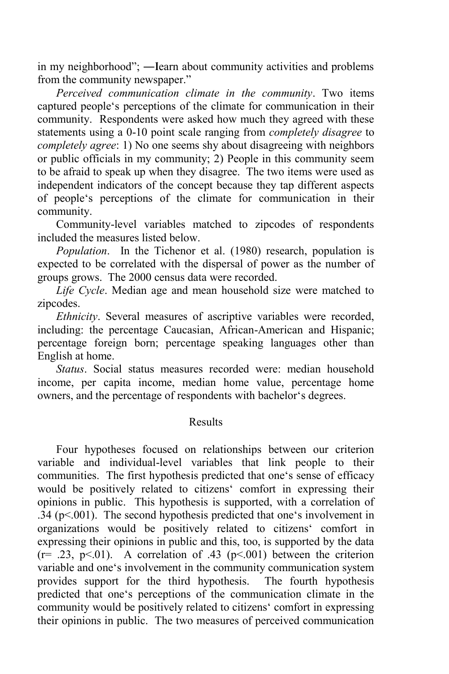in my neighborhood"; —Iearn about community activities and problems from the community newspaper."

*Perceived communication climate in the community*. Two items captured people's perceptions of the climate for communication in their community. Respondents were asked how much they agreed with these statements using a 0-10 point scale ranging from *completely disagree* to *completely agree*: 1) No one seems shy about disagreeing with neighbors or public officials in my community; 2) People in this community seem to be afraid to speak up when they disagree. The two items were used as independent indicators of the concept because they tap different aspects of people's perceptions of the climate for communication in their community.

Community-level variables matched to zipcodes of respondents included the measures listed below.

*Population*. In the Tichenor et al. (1980) research, population is expected to be correlated with the dispersal of power as the number of groups grows. The 2000 census data were recorded.

*Life Cycle*. Median age and mean household size were matched to zipcodes.

*Ethnicity*. Several measures of ascriptive variables were recorded, including: the percentage Caucasian, African-American and Hispanic; percentage foreign born; percentage speaking languages other than English at home.

*Status*. Social status measures recorded were: median household income, per capita income, median home value, percentage home owners, and the percentage of respondents with bachelor's degrees.

#### Results

Four hypotheses focused on relationships between our criterion variable and individual-level variables that link people to their communities. The first hypothesis predicted that one's sense of efficacy would be positively related to citizens' comfort in expressing their opinions in public. This hypothesis is supported, with a correlation of  $.34$  (p $\leq$  001). The second hypothesis predicted that one's involvement in organizations would be positively related to citizens' comfort in expressing their opinions in public and this, too, is supported by the data  $(r= .23, p<.01)$ . A correlation of .43 ( $p<.001$ ) between the criterion variable and one's involvement in the community communication system provides support for the third hypothesis. The fourth hypothesis predicted that one's perceptions of the communication climate in the community would be positively related to citizens' comfort in expressing their opinions in public. The two measures of perceived communication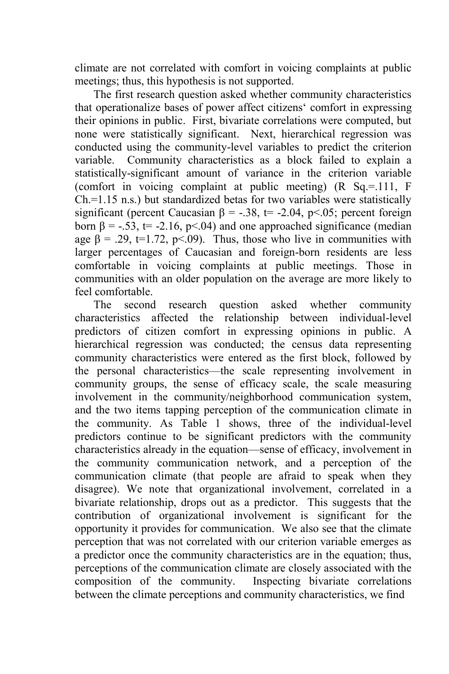climate are not correlated with comfort in voicing complaints at public meetings; thus, this hypothesis is not supported.

The first research question asked whether community characteristics that operationalize bases of power affect citizens' comfort in expressing their opinions in public. First, bivariate correlations were computed, but none were statistically significant. Next, hierarchical regression was conducted using the community-level variables to predict the criterion variable. Community characteristics as a block failed to explain a statistically-significant amount of variance in the criterion variable (comfort in voicing complaint at public meeting) (R Sq.=.111, F Ch.=1.15 n.s.) but standardized betas for two variables were statistically significant (percent Caucasian  $\beta$  = -.38, t= -2.04, p<.05; percent foreign born  $\beta = -0.53$ ,  $t = -2.16$ ,  $p < 0.04$ ) and one approached significance (median age  $\beta$  = .29, t=1.72, p<.09). Thus, those who live in communities with larger percentages of Caucasian and foreign-born residents are less comfortable in voicing complaints at public meetings. Those in communities with an older population on the average are more likely to feel comfortable.

The second research question asked whether community characteristics affected the relationship between individual-level predictors of citizen comfort in expressing opinions in public. A hierarchical regression was conducted; the census data representing community characteristics were entered as the first block, followed by the personal characteristics—the scale representing involvement in community groups, the sense of efficacy scale, the scale measuring involvement in the community/neighborhood communication system, and the two items tapping perception of the communication climate in the community. As Table 1 shows, three of the individual-level predictors continue to be significant predictors with the community characteristics already in the equation—sense of efficacy, involvement in the community communication network, and a perception of the communication climate (that people are afraid to speak when they disagree). We note that organizational involvement, correlated in a bivariate relationship, drops out as a predictor. This suggests that the contribution of organizational involvement is significant for the opportunity it provides for communication. We also see that the climate perception that was not correlated with our criterion variable emerges as a predictor once the community characteristics are in the equation; thus, perceptions of the communication climate are closely associated with the composition of the community. Inspecting bivariate correlations composition of the community. between the climate perceptions and community characteristics, we find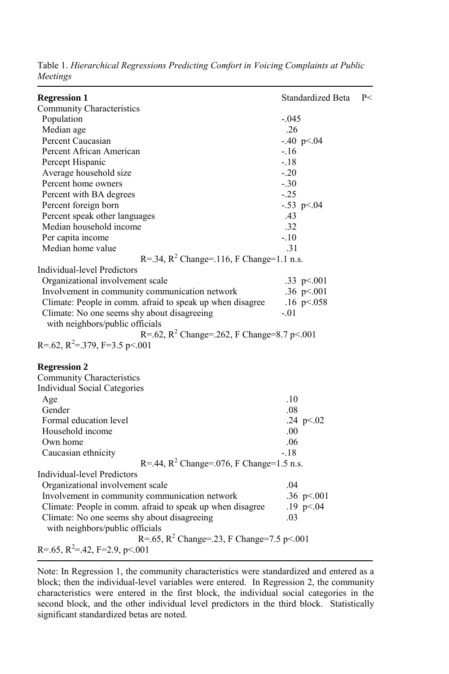| <b>Regression 1</b>                                       | Standardized Beta | P< |
|-----------------------------------------------------------|-------------------|----|
| Community Characteristics                                 |                   |    |
| Population                                                | $-.045$           |    |
| Median age                                                | .26               |    |
| Percent Caucasian                                         | $-.40$ p < 04     |    |
| Percent African American                                  | $-.16$            |    |
| Percept Hispanic                                          | $-18$             |    |
| Average household size                                    | $-.20$            |    |
| Percent home owners                                       | $-.30$            |    |
| Percent with BA degrees                                   | $-.25$            |    |
| Percent foreign born                                      | $-.53$ p $< 04$   |    |
| Percent speak other languages                             | .43               |    |
| Median household income                                   | .32               |    |
| Per capita income                                         | $-.10$            |    |
| Median home value                                         | .31               |    |
| R=.34, $R^2$ Change=.116, F Change=1.1 n.s.               |                   |    |
| Individual-level Predictors                               |                   |    |
| Organizational involvement scale                          | .33 $p<0.001$     |    |
| Involvement in community communication network            | .36 $p<001$       |    |
| Climate: People in comm. afraid to speak up when disagree | .16 $p < 0.058$   |    |
| Climate: No one seems shy about disagreeing               | $-.01$            |    |
| with neighbors/public officials                           |                   |    |
| R=.62, R <sup>2</sup> Change=.262, F Change=8.7 p<.001    |                   |    |
| R=.62, R <sup>2</sup> =.379, F=3.5 p <.001                |                   |    |
| <b>Regression 2</b>                                       |                   |    |
| <b>Community Characteristics</b>                          |                   |    |
| Individual Social Categories                              |                   |    |
| Age                                                       | .10               |    |
| Gender                                                    | .08               |    |
| Formal education level                                    | .24 $p<.02$       |    |
| Household income                                          | .00               |    |
| Own home                                                  | .06               |    |
| Caucasian ethnicity                                       | $-18$             |    |
| R=.44, $R^2$ Change=.076, F Change=1.5 n.s.               |                   |    |
| <b>Individual-level Predictors</b>                        |                   |    |
| Organizational involvement scale                          | .04               |    |
| Involvement in community communication network            | .36 $p<.001$      |    |
| Climate: People in comm. afraid to speak up when disagree | .19 $p<.04$       |    |
| Climate: No one seems shy about disagreeing               | .03               |    |
| with neighbors/public officials                           |                   |    |
| R=.65, $R^2$ Change=.23, F Change=7.5 p<.001              |                   |    |
| R=.65, R <sup>2</sup> =.42, F=2.9, p <.001                |                   |    |

Table 1. *Hierarchical Regressions Predicting Comfort in Voicing Complaints at Public Meetings*

Note: In Regression 1, the community characteristics were standardized and entered as a block; then the individual-level variables were entered. In Regression 2, the community characteristics were entered in the first block, the individual social categories in the second block, and the other individual level predictors in the third block. Statistically significant standardized betas are noted.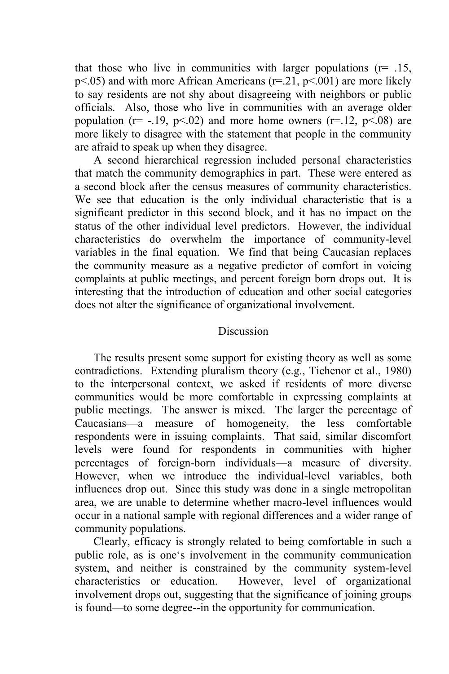that those who live in communities with larger populations  $(r= .15, )$  $p\leq 0.05$ ) and with more African Americans ( $r=21$ ,  $p\leq 0.001$ ) are more likely to say residents are not shy about disagreeing with neighbors or public officials. Also, those who live in communities with an average older population ( $r = -19$ ,  $p < 02$ ) and more home owners ( $r = 12$ ,  $p < 08$ ) are more likely to disagree with the statement that people in the community are afraid to speak up when they disagree.

A second hierarchical regression included personal characteristics that match the community demographics in part. These were entered as a second block after the census measures of community characteristics. We see that education is the only individual characteristic that is a significant predictor in this second block, and it has no impact on the status of the other individual level predictors. However, the individual characteristics do overwhelm the importance of community-level variables in the final equation. We find that being Caucasian replaces the community measure as a negative predictor of comfort in voicing complaints at public meetings, and percent foreign born drops out. It is interesting that the introduction of education and other social categories does not alter the significance of organizational involvement.

#### **Discussion**

The results present some support for existing theory as well as some contradictions. Extending pluralism theory (e.g., Tichenor et al., 1980) to the interpersonal context, we asked if residents of more diverse communities would be more comfortable in expressing complaints at public meetings. The answer is mixed. The larger the percentage of Caucasians—a measure of homogeneity, the less comfortable respondents were in issuing complaints. That said, similar discomfort levels were found for respondents in communities with higher percentages of foreign-born individuals—a measure of diversity. However, when we introduce the individual-level variables, both influences drop out. Since this study was done in a single metropolitan area, we are unable to determine whether macro-level influences would occur in a national sample with regional differences and a wider range of community populations.

Clearly, efficacy is strongly related to being comfortable in such a public role, as is one's involvement in the community communication system, and neither is constrained by the community system-level characteristics or education. However, level of organizational involvement drops out, suggesting that the significance of joining groups is found—to some degree--in the opportunity for communication.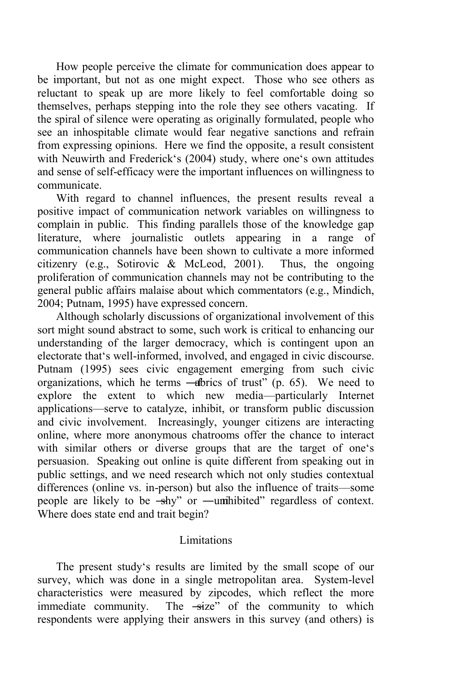How people perceive the climate for communication does appear to be important, but not as one might expect. Those who see others as reluctant to speak up are more likely to feel comfortable doing so themselves, perhaps stepping into the role they see others vacating. If the spiral of silence were operating as originally formulated, people who see an inhospitable climate would fear negative sanctions and refrain from expressing opinions. Here we find the opposite, a result consistent with Neuwirth and Frederick's (2004) study, where one's own attitudes and sense of self-efficacy were the important influences on willingness to communicate.

With regard to channel influences, the present results reveal a positive impact of communication network variables on willingness to complain in public. This finding parallels those of the knowledge gap literature, where journalistic outlets appearing in a range of communication channels have been shown to cultivate a more informed citizenry (e.g., Sotirovic & McLeod, 2001). Thus, the ongoing proliferation of communication channels may not be contributing to the general public affairs malaise about which commentators (e.g., Mindich, 2004; Putnam, 1995) have expressed concern.

Although scholarly discussions of organizational involvement of this sort might sound abstract to some, such work is critical to enhancing our understanding of the larger democracy, which is contingent upon an electorate that's well-informed, involved, and engaged in civic discourse. Putnam (1995) sees civic engagement emerging from such civic organizations, which he terms  $-\hat{a}$ brics of trust<sup>"</sup> (p. 65). We need to explore the extent to which new media—particularly Internet applications—serve to catalyze, inhibit, or transform public discussion and civic involvement. Increasingly, younger citizens are interacting online, where more anonymous chatrooms offer the chance to interact with similar others or diverse groups that are the target of one's persuasion. Speaking out online is quite different from speaking out in public settings, and we need research which not only studies contextual differences (online vs. in-person) but also the influence of traits—some people are likely to be  $-\frac{1}{2}$  or  $-\frac{1}{2}$  inhibited" regardless of context. Where does state end and trait begin?

#### Limitations

The present study's results are limited by the small scope of our survey, which was done in a single metropolitan area. System-level characteristics were measured by zipcodes, which reflect the more immediate community. The  $-\text{size}^n$  of the community to which respondents were applying their answers in this survey (and others) is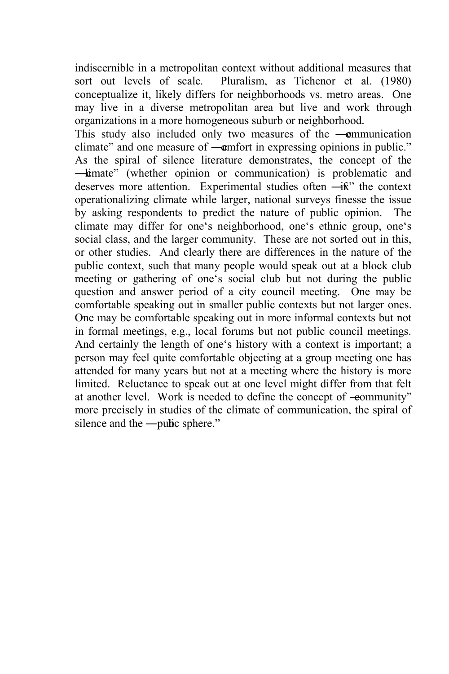indiscernible in a metropolitan context without additional measures that sort out levels of scale. Pluralism, as Tichenor et al. (1980) Pluralism, as Tichenor et al. (1980) conceptualize it, likely differs for neighborhoods vs. metro areas. One may live in a diverse metropolitan area but live and work through organizations in a more homogeneous suburb or neighborhood.

This study also included only two measures of the **—communication** climate" and one measure of —**c**omfort in expressing opinions in public." As the spiral of silence literature demonstrates, the concept of the —kimate" (whether opinion or communication) is problematic and deserves more attention. Experimental studies often  $-\mathbf{i}\hat{\mathbf{k}}$ " the context operationalizing climate while larger, national surveys finesse the issue by asking respondents to predict the nature of public opinion. The climate may differ for one's neighborhood, one's ethnic group, one's social class, and the larger community. These are not sorted out in this, or other studies. And clearly there are differences in the nature of the public context, such that many people would speak out at a block club meeting or gathering of one's social club but not during the public question and answer period of a city council meeting. One may be comfortable speaking out in smaller public contexts but not larger ones. One may be comfortable speaking out in more informal contexts but not in formal meetings, e.g., local forums but not public council meetings. And certainly the length of one's history with a context is important; a person may feel quite comfortable objecting at a group meeting one has attended for many years but not at a meeting where the history is more limited. Reluctance to speak out at one level might differ from that felt at another level. Work is needed to define the concept of -eommunity" more precisely in studies of the climate of communication, the spiral of silence and the —public sphere."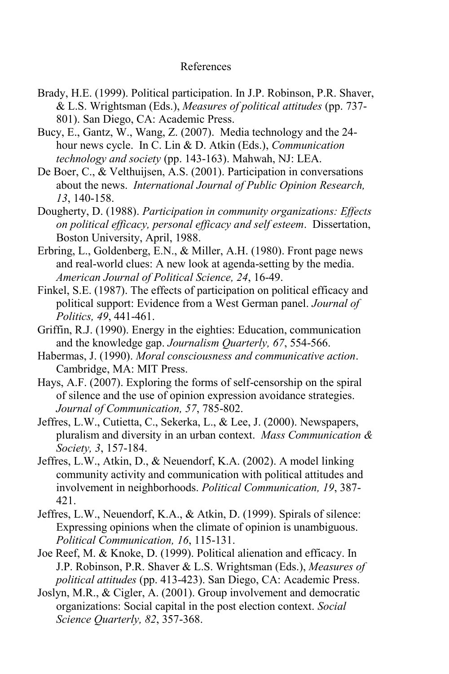#### References

- Brady, H.E. (1999). Political participation. In J.P. Robinson, P.R. Shaver, & L.S. Wrightsman (Eds.), *Measures of political attitudes* (pp. 737- 801). San Diego, CA: Academic Press.
- Bucy, E., Gantz, W., Wang, Z. (2007). Media technology and the 24 hour news cycle. In C. Lin & D. Atkin (Eds.), *Communication technology and society* (pp. 143-163). Mahwah, NJ: LEA.
- De Boer, C., & Velthuijsen, A.S. (2001). Participation in conversations about the news. *International Journal of Public Opinion Research, 13*, 140-158.
- Dougherty, D. (1988). *Participation in community organizations: Effects on political efficacy, personal efficacy and self esteem*. Dissertation, Boston University, April, 1988.
- Erbring, L., Goldenberg, E.N., & Miller, A.H. (1980). Front page news and real-world clues: A new look at agenda-setting by the media. *American Journal of Political Science, 24*, 16-49.
- Finkel, S.E. (1987). The effects of participation on political efficacy and political support: Evidence from a West German panel. *Journal of Politics, 49*, 441-461.
- Griffin, R.J. (1990). Energy in the eighties: Education, communication and the knowledge gap. *Journalism Quarterly, 67*, 554-566.
- Habermas, J. (1990). *Moral consciousness and communicative action*. Cambridge, MA: MIT Press.
- Hays, A.F. (2007). Exploring the forms of self-censorship on the spiral of silence and the use of opinion expression avoidance strategies. *Journal of Communication, 57*, 785-802.
- Jeffres, L.W., Cutietta, C., Sekerka, L., & Lee, J. (2000). Newspapers, pluralism and diversity in an urban context. *Mass Communication & Society, 3*, 157-184.
- Jeffres, L.W., Atkin, D., & Neuendorf, K.A. (2002). A model linking community activity and communication with political attitudes and involvement in neighborhoods. *Political Communication, 19*, 387- 421.
- Jeffres, L.W., Neuendorf, K.A., & Atkin, D. (1999). Spirals of silence: Expressing opinions when the climate of opinion is unambiguous. *Political Communication, 16*, 115-131.
- Joe Reef, M. & Knoke, D. (1999). Political alienation and efficacy. In J.P. Robinson, P.R. Shaver & L.S. Wrightsman (Eds.), *Measures of political attitudes* (pp. 413-423). San Diego, CA: Academic Press.
- Joslyn, M.R., & Cigler, A. (2001). Group involvement and democratic organizations: Social capital in the post election context. *Social Science Quarterly, 82*, 357-368.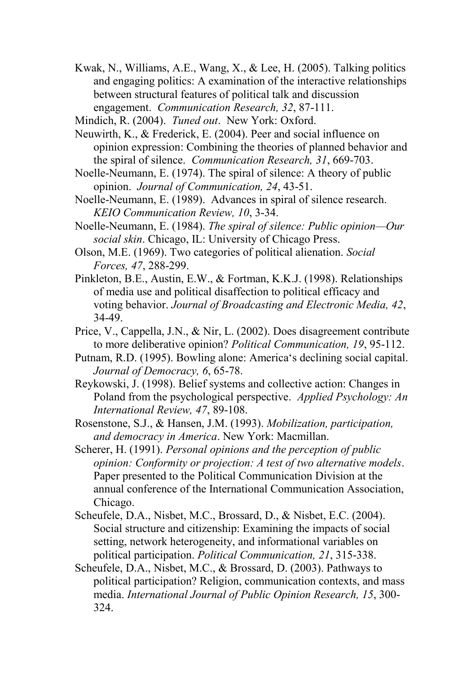Kwak, N., Williams, A.E., Wang, X., & Lee, H. (2005). Talking politics and engaging politics: A examination of the interactive relationships between structural features of political talk and discussion engagement. *Communication Research, 32*, 87-111.

- Neuwirth, K., & Frederick, E. (2004). Peer and social influence on opinion expression: Combining the theories of planned behavior and the spiral of silence. *Communication Research, 31*, 669-703.
- Noelle-Neumann, E. (1974). The spiral of silence: A theory of public opinion. *Journal of Communication, 24*, 43-51.
- Noelle-Neumann, E. (1989). Advances in spiral of silence research. *KEIO Communication Review, 10*, 3-34.
- Noelle-Neumann, E. (1984). *The spiral of silence: Public opinion—Our social skin*. Chicago, IL: University of Chicago Press.
- Olson, M.E. (1969). Two categories of political alienation. *Social Forces, 47*, 288-299.
- Pinkleton, B.E., Austin, E.W., & Fortman, K.K.J. (1998). Relationships of media use and political disaffection to political efficacy and voting behavior. *Journal of Broadcasting and Electronic Media, 42*, 34-49.
- Price, V., Cappella, J.N., & Nir, L. (2002). Does disagreement contribute to more deliberative opinion? *Political Communication, 19*, 95-112.
- Putnam, R.D. (1995). Bowling alone: America's declining social capital. *Journal of Democracy, 6*, 65-78.
- Reykowski, J. (1998). Belief systems and collective action: Changes in Poland from the psychological perspective. *Applied Psychology: An International Review, 47*, 89-108.
- Rosenstone, S.J., & Hansen, J.M. (1993). *Mobilization, participation, and democracy in America*. New York: Macmillan.
- Scherer, H. (1991). *Personal opinions and the perception of public opinion: Conformity or projection: A test of two alternative models*. Paper presented to the Political Communication Division at the annual conference of the International Communication Association, Chicago.
- Scheufele, D.A., Nisbet, M.C., Brossard, D., & Nisbet, E.C. (2004). Social structure and citizenship: Examining the impacts of social setting, network heterogeneity, and informational variables on political participation. *Political Communication, 21*, 315-338.
- Scheufele, D.A., Nisbet, M.C., & Brossard, D. (2003). Pathways to political participation? Religion, communication contexts, and mass media. *International Journal of Public Opinion Research, 15*, 300- 324.

Mindich, R. (2004). *Tuned out*. New York: Oxford.